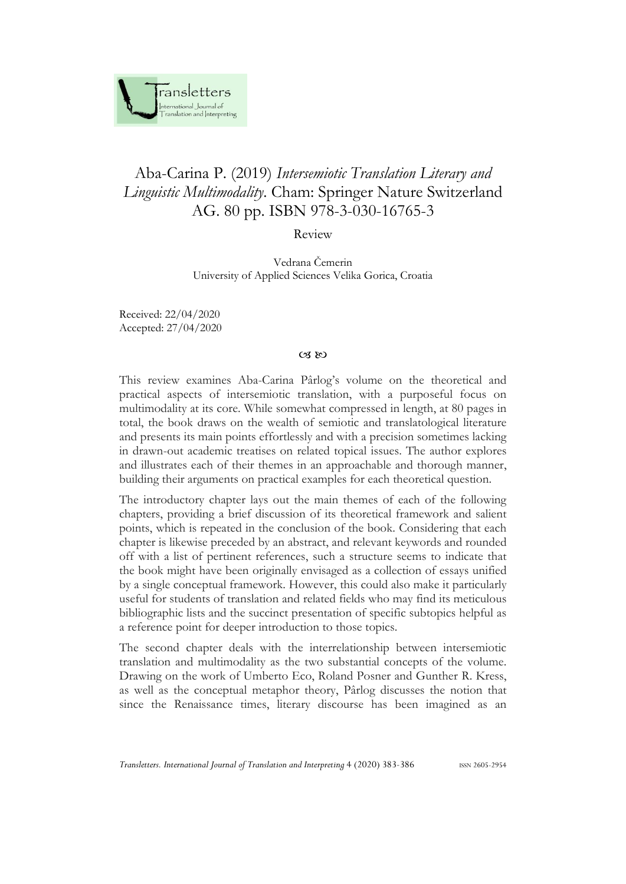

## Aba-Carina P. (2019) *Intersemiotic Translation Literary and Linguistic Multimodality*. Cham: Springer Nature Switzerland AG. 80 pp. ISBN 978-3-030-16765-3

Review

Vedrana Čemerin University of Applied Sciences Velika Gorica, Croatia

Received: 22/04/2020 Accepted: 27/04/2020

## $C3$  &

This review examines Aba-Carina Pârlog's volume on the theoretical and practical aspects of intersemiotic translation, with a purposeful focus on multimodality at its core. While somewhat compressed in length, at 80 pages in total, the book draws on the wealth of semiotic and translatological literature and presents its main points effortlessly and with a precision sometimes lacking in drawn-out academic treatises on related topical issues. The author explores and illustrates each of their themes in an approachable and thorough manner, building their arguments on practical examples for each theoretical question.

The introductory chapter lays out the main themes of each of the following chapters, providing a brief discussion of its theoretical framework and salient points, which is repeated in the conclusion of the book. Considering that each chapter is likewise preceded by an abstract, and relevant keywords and rounded off with a list of pertinent references, such a structure seems to indicate that the book might have been originally envisaged as a collection of essays unified by a single conceptual framework. However, this could also make it particularly useful for students of translation and related fields who may find its meticulous bibliographic lists and the succinct presentation of specific subtopics helpful as a reference point for deeper introduction to those topics.

The second chapter deals with the interrelationship between intersemiotic translation and multimodality as the two substantial concepts of the volume. Drawing on the work of Umberto Eco, Roland Posner and Gunther R. Kress, as well as the conceptual metaphor theory, Pârlog discusses the notion that since the Renaissance times, literary discourse has been imagined as an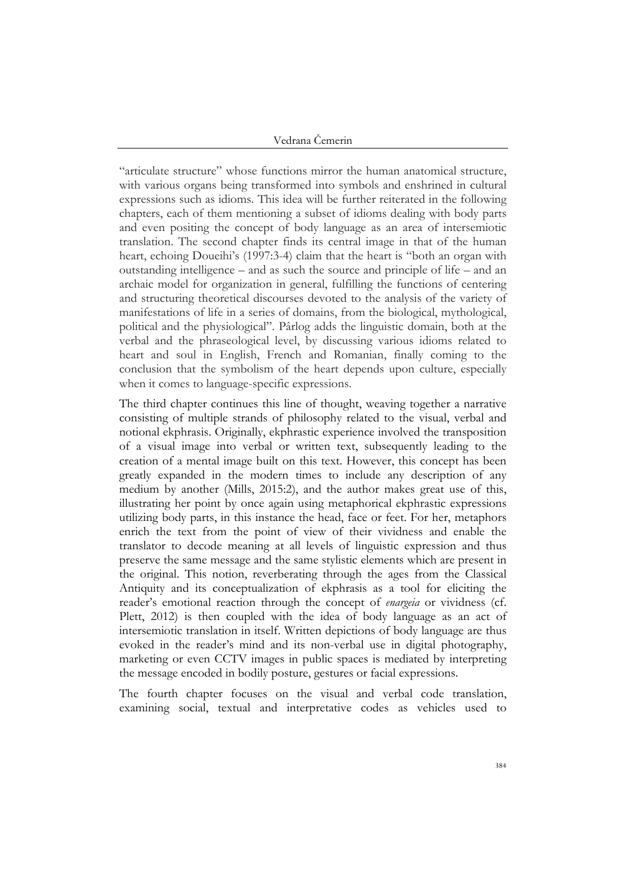Vedrana Čemerin

"articulate structure" whose functions mirror the human anatomical structure, with various organs being transformed into symbols and enshrined in cultural expressions such as idioms. This idea will be further reiterated in the following chapters, each of them mentioning a subset of idioms dealing with body parts and even positing the concept of body language as an area of intersemiotic translation. The second chapter finds its central image in that of the human heart, echoing Doueihi's (1997:3-4) claim that the heart is "both an organ with outstanding intelligence – and as such the source and principle of life – and an archaic model for organization in general, fulfilling the functions of centering and structuring theoretical discourses devoted to the analysis of the variety of manifestations of life in a series of domains, from the biological, mythological, political and the physiological". Pârlog adds the linguistic domain, both at the verbal and the phraseological level, by discussing various idioms related to heart and soul in English, French and Romanian, finally coming to the conclusion that the symbolism of the heart depends upon culture, especially when it comes to language-specific expressions.

The third chapter continues this line of thought, weaving together a narrative consisting of multiple strands of philosophy related to the visual, verbal and notional ekphrasis. Originally, ekphrastic experience involved the transposition of a visual image into verbal or written text, subsequently leading to the creation of a mental image built on this text. However, this concept has been greatly expanded in the modern times to include any description of any medium by another (Mills, 2015:2), and the author makes great use of this, illustrating her point by once again using metaphorical ekphrastic expressions utilizing body parts, in this instance the head, face or feet. For her, metaphors enrich the text from the point of view of their vividness and enable the translator to decode meaning at all levels of linguistic expression and thus preserve the same message and the same stylistic elements which are present in the original. This notion, reverberating through the ages from the Classical Antiquity and its conceptualization of ekphrasis as a tool for eliciting the reader's emotional reaction through the concept of *enargeia* or vividness (cf. Plett, 2012) is then coupled with the idea of body language as an act of intersemiotic translation in itself. Written depictions of body language are thus evoked in the reader's mind and its non-verbal use in digital photography, marketing or even CCTV images in public spaces is mediated by interpreting the message encoded in bodily posture, gestures or facial expressions.

The fourth chapter focuses on the visual and verbal code translation, examining social, textual and interpretative codes as vehicles used to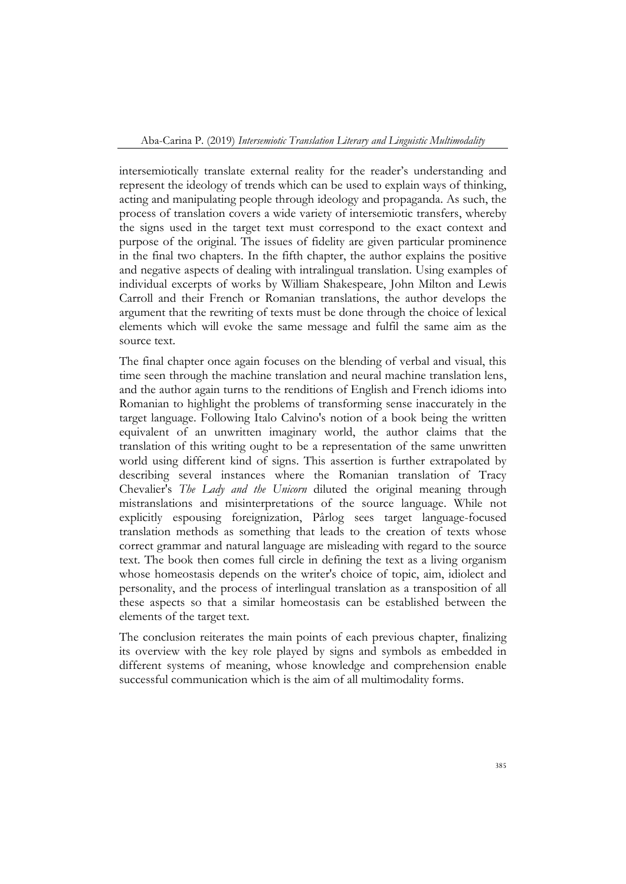intersemiotically translate external reality for the reader's understanding and represent the ideology of trends which can be used to explain ways of thinking, acting and manipulating people through ideology and propaganda. As such, the process of translation covers a wide variety of intersemiotic transfers, whereby the signs used in the target text must correspond to the exact context and purpose of the original. The issues of fidelity are given particular prominence in the final two chapters. In the fifth chapter, the author explains the positive and negative aspects of dealing with intralingual translation. Using examples of individual excerpts of works by William Shakespeare, John Milton and Lewis Carroll and their French or Romanian translations, the author develops the argument that the rewriting of texts must be done through the choice of lexical elements which will evoke the same message and fulfil the same aim as the source text.

The final chapter once again focuses on the blending of verbal and visual, this time seen through the machine translation and neural machine translation lens, and the author again turns to the renditions of English and French idioms into Romanian to highlight the problems of transforming sense inaccurately in the target language. Following Italo Calvino's notion of a book being the written equivalent of an unwritten imaginary world, the author claims that the translation of this writing ought to be a representation of the same unwritten world using different kind of signs. This assertion is further extrapolated by describing several instances where the Romanian translation of Tracy Chevalier's *The Lady and the Unicorn* diluted the original meaning through mistranslations and misinterpretations of the source language. While not explicitly espousing foreignization, Pârlog sees target language-focused translation methods as something that leads to the creation of texts whose correct grammar and natural language are misleading with regard to the source text. The book then comes full circle in defining the text as a living organism whose homeostasis depends on the writer's choice of topic, aim, idiolect and personality, and the process of interlingual translation as a transposition of all these aspects so that a similar homeostasis can be established between the elements of the target text.

The conclusion reiterates the main points of each previous chapter, finalizing its overview with the key role played by signs and symbols as embedded in different systems of meaning, whose knowledge and comprehension enable successful communication which is the aim of all multimodality forms.